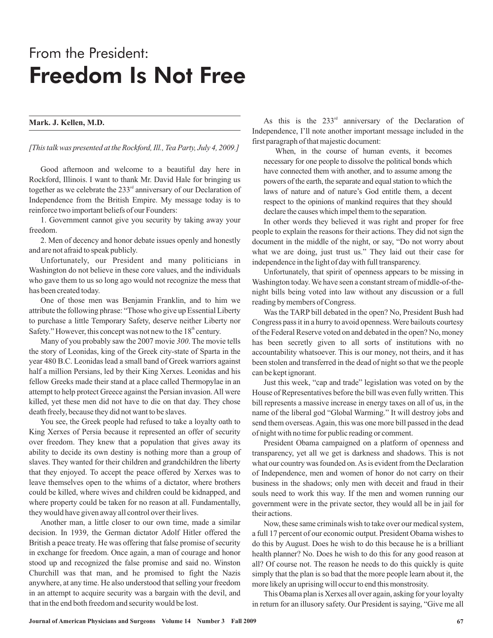## From the President: Freedom Is Not Free

## **Mark. J. Kellen, M.D.**

*[This talk was presented at the Rockford, Ill., Tea Party, July 4, 2009.]*

Good afternoon and welcome to a beautiful day here in Rockford, Illinois. I want to thank Mr. David Hale for bringing us together as we celebrate the  $233<sup>rd</sup>$  anniversary of our Declaration of Independence from the British Empire. My message today is to reinforce two important beliefs of our Founders:

1. Government cannot give you security by taking away your freedom.

2. Men of decency and honor debate issues openly and honestly and are not afraid to speak publicly.

Unfortunately, our President and many politicians in Washington do not believe in these core values, and the individuals who gave them to us so long ago would not recognize the mess that has been created today.

One of those men was Benjamin Franklin, and to him we attribute the following phrase: "Those who give up Essential Liberty to purchase a little Temporary Safety, deserve neither Liberty nor Safety." However, this concept was not new to the  $18<sup>th</sup>$  century.

Many of you probably saw the 2007 movie 300. The movie tells the story of Leonidas, king of the Greek city-state of Sparta in the year 480 B.C. Leonidas lead a small band of Greek warriors against half a million Persians, led by their King Xerxes. Leonidas and his fellow Greeks made their stand at a place called Thermopylae in an attempt to help protect Greece against the Persian invasion.All were killed, yet these men did not have to die on that day. They chose death freely, because they did not want to be slaves.

You see, the Greek people had refused to take a loyalty oath to King Xerxes of Persia because it represented an offer of security over freedom. They knew that a population that gives away its ability to decide its own destiny is nothing more than a group of slaves. They wanted for their children and grandchildren the liberty that they enjoyed. To accept the peace offered by Xerxes was to leave themselves open to the whims of a dictator, where brothers could be killed, where wives and children could be kidnapped, and where property could be taken for no reason at all. Fundamentally, they would have given away all control over their lives.

Another man, a little closer to our own time, made a similar decision. In 1939, the German dictator Adolf Hitler offered the British a peace treaty. He was offering that false promise of security in exchange for freedom. Once again, a man of courage and honor stood up and recognized the false promise and said no. Winston Churchill was that man, and he promised to fight the Nazis anywhere, at any time. He also understood that selling your freedom in an attempt to acquire security was a bargain with the devil, and that in the end both freedom and security would be lost.

As this is the  $233<sup>rd</sup>$  anniversary of the Declaration of Independence, I'll note another important message included in the first paragraph of that majestic document:

When, in the course of human events, it becomes necessary for one people to dissolve the political bonds which have connected them with another, and to assume among the powers of the earth, the separate and equal station to which the laws of nature and of nature's God entitle them, a decent respect to the opinions of mankind requires that they should declare the causes which impel them to the separation.

In other words they believed it was right and proper for free people to explain the reasons for their actions. They did not sign the document in the middle of the night, or say, "Do not worry about what we are doing, just trust us." They laid out their case for independence in the light of day with full transparency.

Unfortunately, that spirit of openness appears to be missing in Washington today. We have seen a constant stream of middle-of-thenight bills being voted into law without any discussion or a full reading by members of Congress.

Was the TARP bill debated in the open? No, President Bush had Congress pass it in a hurry to avoid openness. Were bailouts courtesy of the Federal Reserve voted on and debated in the open? No, money has been secretly given to all sorts of institutions with no accountability whatsoever. This is our money, not theirs, and it has been stolen and transferred in the dead of night so that we the people can be kept ignorant.

Just this week, "cap and trade" legislation was voted on by the House of Representatives before the bill was even fully written. This bill represents a massive increase in energy taxes on all of us, in the name of the liberal god "Global Warming." It will destroy jobs and send them overseas.Again, this was one more bill passed in the dead of night with no time for public reading or comment.

President Obama campaigned on a platform of openness and transparency, yet all we get is darkness and shadows. This is not what our country was founded on.As is evident from the Declaration of Independence, men and women of honor do not carry on their business in the shadows; only men with deceit and fraud in their souls need to work this way. If the men and women running our government were in the private sector, they would all be in jail for their actions.

Now, these same criminals wish to take over our medical system, a full 17 percent of our economic output. President Obama wishes to do this by August. Does he wish to do this because he is a brilliant health planner? No. Does he wish to do this for any good reason at all? Of course not. The reason he needs to do this quickly is quite simply that the plan is so bad that the more people learn about it, the more likely an uprising will occur to end this monstrosity.

This Obama plan is Xerxes all over again, asking for your loyalty in return for an illusory safety. Our President is saying, "Give me all